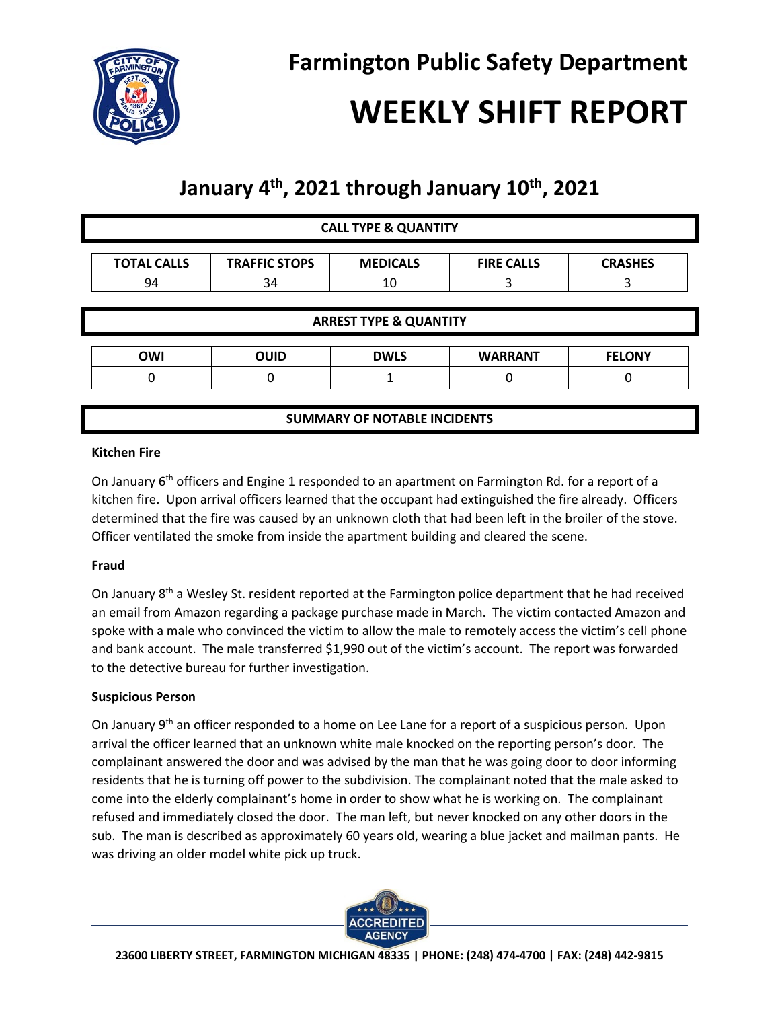

# **WEEKLY SHIFT REPORT**

# **January 4th , 2021 through January 10th, 2021**

| <b>CALL TYPE &amp; QUANTITY</b>     |                      |                 |                   |                |
|-------------------------------------|----------------------|-----------------|-------------------|----------------|
| <b>TOTAL CALLS</b>                  | <b>TRAFFIC STOPS</b> | <b>MEDICALS</b> | <b>FIRE CALLS</b> | <b>CRASHES</b> |
| 94                                  | 34                   | 10              | 3                 | 3              |
| <b>ARREST TYPE &amp; QUANTITY</b>   |                      |                 |                   |                |
|                                     |                      |                 |                   |                |
| <b>OWI</b>                          | <b>OUID</b>          | <b>DWLS</b>     | <b>WARRANT</b>    | <b>FELONY</b>  |
| 0                                   | 0                    |                 |                   |                |
|                                     |                      |                 |                   |                |
| <b>SUMMARY OF NOTABLE INCIDENTS</b> |                      |                 |                   |                |

#### **Kitchen Fire**

On January  $6<sup>th</sup>$  officers and Engine 1 responded to an apartment on Farmington Rd. for a report of a kitchen fire. Upon arrival officers learned that the occupant had extinguished the fire already. Officers determined that the fire was caused by an unknown cloth that had been left in the broiler of the stove. Officer ventilated the smoke from inside the apartment building and cleared the scene.

## **Fraud**

On January 8<sup>th</sup> a Wesley St. resident reported at the Farmington police department that he had received an email from Amazon regarding a package purchase made in March. The victim contacted Amazon and spoke with a male who convinced the victim to allow the male to remotely access the victim's cell phone and bank account. The male transferred \$1,990 out of the victim's account. The report was forwarded to the detective bureau for further investigation.

## **Suspicious Person**

On January  $9<sup>th</sup>$  an officer responded to a home on Lee Lane for a report of a suspicious person. Upon arrival the officer learned that an unknown white male knocked on the reporting person's door. The complainant answered the door and was advised by the man that he was going door to door informing residents that he is turning off power to the subdivision. The complainant noted that the male asked to come into the elderly complainant's home in order to show what he is working on. The complainant refused and immediately closed the door. The man left, but never knocked on any other doors in the sub. The man is described as approximately 60 years old, wearing a blue jacket and mailman pants. He was driving an older model white pick up truck.